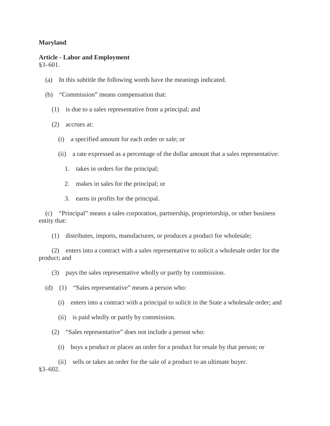## **Maryland**

## **Article - Labor and Employment**

§3–601.

- (a) In this subtitle the following words have the meanings indicated.
- (b) "Commission" means compensation that:
	- (1) is due to a sales representative from a principal; and
	- (2) accrues at:
		- (i) a specified amount for each order or sale; or
		- (ii) a rate expressed as a percentage of the dollar amount that a sales representative:
			- 1. takes in orders for the principal;
			- 2. makes in sales for the principal; or
			- 3. earns in profits for the principal.

(c) "Principal" means a sales corporation, partnership, proprietorship, or other business entity that:

(1) distributes, imports, manufactures, or produces a product for wholesale;

(2) enters into a contract with a sales representative to solicit a wholesale order for the product; and

- (3) pays the sales representative wholly or partly by commission.
- (d) (1) "Sales representative" means a person who:
	- (i) enters into a contract with a principal to solicit in the State a wholesale order; and
	- (ii) is paid wholly or partly by commission.
	- (2) "Sales representative" does not include a person who:
		- (i) buys a product or places an order for a product for resale by that person; or

(ii) sells or takes an order for the sale of a product to an ultimate buyer. §3–602.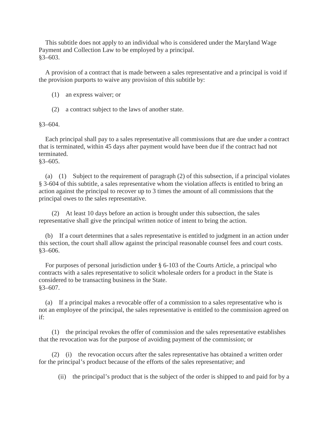This subtitle does not apply to an individual who is considered under the Maryland Wage Payment and Collection Law to be employed by a principal. §3–603.

A provision of a contract that is made between a sales representative and a principal is void if the provision purports to waive any provision of this subtitle by:

- (1) an express waiver; or
- (2) a contract subject to the laws of another state.

§3–604.

Each principal shall pay to a sales representative all commissions that are due under a contract that is terminated, within 45 days after payment would have been due if the contract had not terminated.

§3–605.

(a) (1) Subject to the requirement of paragraph (2) of this subsection, if a principal violates § 3-604 of this subtitle, a sales representative whom the violation affects is entitled to bring an action against the principal to recover up to 3 times the amount of all commissions that the principal owes to the sales representative.

(2) At least 10 days before an action is brought under this subsection, the sales representative shall give the principal written notice of intent to bring the action.

(b) If a court determines that a sales representative is entitled to judgment in an action under this section, the court shall allow against the principal reasonable counsel fees and court costs. §3–606.

For purposes of personal jurisdiction under § 6-103 of the Courts Article, a principal who contracts with a sales representative to solicit wholesale orders for a product in the State is considered to be transacting business in the State. §3–607.

(a) If a principal makes a revocable offer of a commission to a sales representative who is not an employee of the principal, the sales representative is entitled to the commission agreed on if:

(1) the principal revokes the offer of commission and the sales representative establishes that the revocation was for the purpose of avoiding payment of the commission; or

(2) (i) the revocation occurs after the sales representative has obtained a written order for the principal's product because of the efforts of the sales representative; and

(ii) the principal's product that is the subject of the order is shipped to and paid for by a